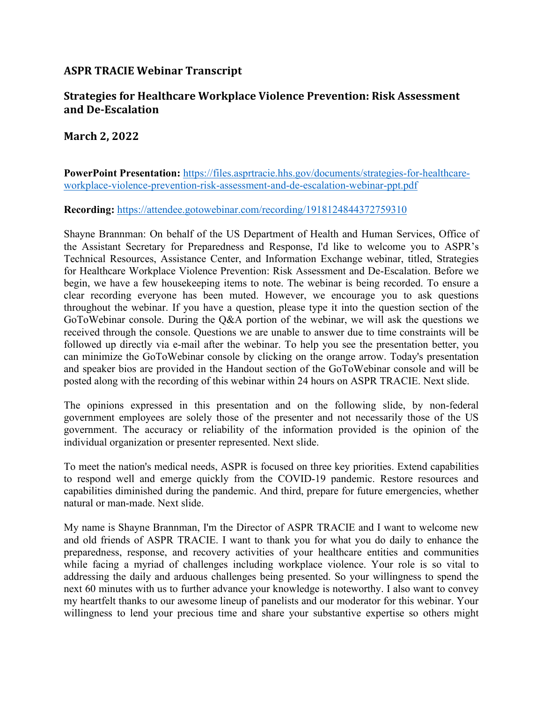## **ASPR TRACIE Webinar Transcript**

## **Strategies for Healthcare Workplace Violence Prevention: Risk Assessment and De-Escalation**

## **March 2, 2022**

**PowerPoint Presentation:** [https://files.asprtracie.hhs.gov/documents/strategies-for-healthcare](https://files.asprtracie.hhs.gov/documents/strategies-for-healthcare-workplace-violence-prevention-risk-assessment-and-de-escalation-webinar-ppt.pdf)[workplace-violence-prevention-risk-assessment-and-de-escalation-webinar-ppt.pdf](https://files.asprtracie.hhs.gov/documents/strategies-for-healthcare-workplace-violence-prevention-risk-assessment-and-de-escalation-webinar-ppt.pdf) 

## **Recording:** <https://attendee.gotowebinar.com/recording/1918124844372759310>

 Shayne Brannman: On behalf of the US Department of Health and Human Services, Office of the Assistant Secretary for Preparedness and Response, I'd like to welcome you to ASPR's Technical Resources, Assistance Center, and Information Exchange webinar, titled, Strategies for Healthcare Workplace Violence Prevention: Risk Assessment and De-Escalation. Before we begin, we have a few housekeeping items to note. The webinar is being recorded. To ensure a clear recording everyone has been muted. However, we encourage you to ask questions throughout the webinar. If you have a question, please type it into the question section of the GoToWebinar console. During the Q&A portion of the webinar, we will ask the questions we received through the console. Questions we are unable to answer due to time constraints will be followed up directly via e-mail after the webinar. To help you see the presentation better, you can minimize the GoToWebinar console by clicking on the orange arrow. Today's presentation and speaker bios are provided in the Handout section of the GoToWebinar console and will be posted along with the recording of this webinar within 24 hours on ASPR TRACIE. Next slide.

 The opinions expressed in this presentation and on the following slide, by non-federal government employees are solely those of the presenter and not necessarily those of the US government. The accuracy or reliability of the information provided is the opinion of the individual organization or presenter represented. Next slide.

 To meet the nation's medical needs, ASPR is focused on three key priorities. Extend capabilities to respond well and emerge quickly from the COVID-19 pandemic. Restore resources and capabilities diminished during the pandemic. And third, prepare for future emergencies, whether natural or man-made. Next slide.

 My name is Shayne Brannman, I'm the Director of ASPR TRACIE and I want to welcome new and old friends of ASPR TRACIE. I want to thank you for what you do daily to enhance the preparedness, response, and recovery activities of your healthcare entities and communities while facing a myriad of challenges including workplace violence. Your role is so vital to addressing the daily and arduous challenges being presented. So your willingness to spend the next 60 minutes with us to further advance your knowledge is noteworthy. I also want to convey my heartfelt thanks to our awesome lineup of panelists and our moderator for this webinar. Your willingness to lend your precious time and share your substantive expertise so others might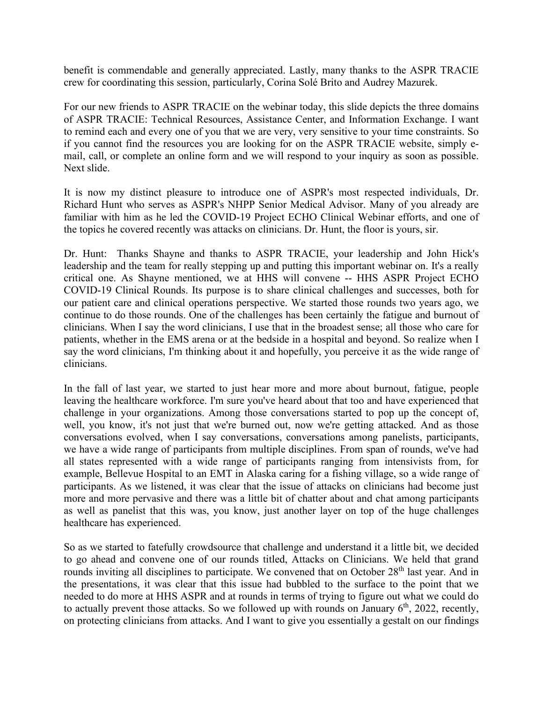benefit is commendable and generally appreciated. Lastly, many thanks to the ASPR TRACIE crew for coordinating this session, particularly, Corina Solé Brito and Audrey Mazurek.

 For our new friends to ASPR TRACIE on the webinar today, this slide depicts the three domains of ASPR TRACIE: Technical Resources, Assistance Center, and Information Exchange. I want to remind each and every one of you that we are very, very sensitive to your time constraints. So if you cannot find the resources you are looking for on the ASPR TRACIE website, simply e- mail, call, or complete an online form and we will respond to your inquiry as soon as possible. Next slide.

 It is now my distinct pleasure to introduce one of ASPR's most respected individuals, Dr. Richard Hunt who serves as ASPR's NHPP Senior Medical Advisor. Many of you already are familiar with him as he led the COVID-19 Project ECHO Clinical Webinar efforts, and one of the topics he covered recently was attacks on clinicians. Dr. Hunt, the floor is yours, sir.

 Dr. Hunt: Thanks Shayne and thanks to ASPR TRACIE, your leadership and John Hick's leadership and the team for really stepping up and putting this important webinar on. It's a really critical one. As Shayne mentioned, we at HHS will convene -- HHS ASPR Project ECHO COVID-19 Clinical Rounds. Its purpose is to share clinical challenges and successes, both for our patient care and clinical operations perspective. We started those rounds two years ago, we continue to do those rounds. One of the challenges has been certainly the fatigue and burnout of clinicians. When I say the word clinicians, I use that in the broadest sense; all those who care for patients, whether in the EMS arena or at the bedside in a hospital and beyond. So realize when I say the word clinicians, I'm thinking about it and hopefully, you perceive it as the wide range of clinicians.

 In the fall of last year, we started to just hear more and more about burnout, fatigue, people leaving the healthcare workforce. I'm sure you've heard about that too and have experienced that challenge in your organizations. Among those conversations started to pop up the concept of, well, you know, it's not just that we're burned out, now we're getting attacked. And as those conversations evolved, when I say conversations, conversations among panelists, participants, we have a wide range of participants from multiple disciplines. From span of rounds, we've had all states represented with a wide range of participants ranging from intensivists from, for example, Bellevue Hospital to an EMT in Alaska caring for a fishing village, so a wide range of participants. As we listened, it was clear that the issue of attacks on clinicians had become just more and more pervasive and there was a little bit of chatter about and chat among participants as well as panelist that this was, you know, just another layer on top of the huge challenges healthcare has experienced.

 So as we started to fatefully crowdsource that challenge and understand it a little bit, we decided to go ahead and convene one of our rounds titled, Attacks on Clinicians. We held that grand rounds inviting all disciplines to participate. We convened that on October 28<sup>th</sup> last year. And in the presentations, it was clear that this issue had bubbled to the surface to the point that we needed to do more at HHS ASPR and at rounds in terms of trying to figure out what we could do to actually prevent those attacks. So we followed up with rounds on January  $6<sup>th</sup>$ , 2022, recently, on protecting clinicians from attacks. And I want to give you essentially a gestalt on our findings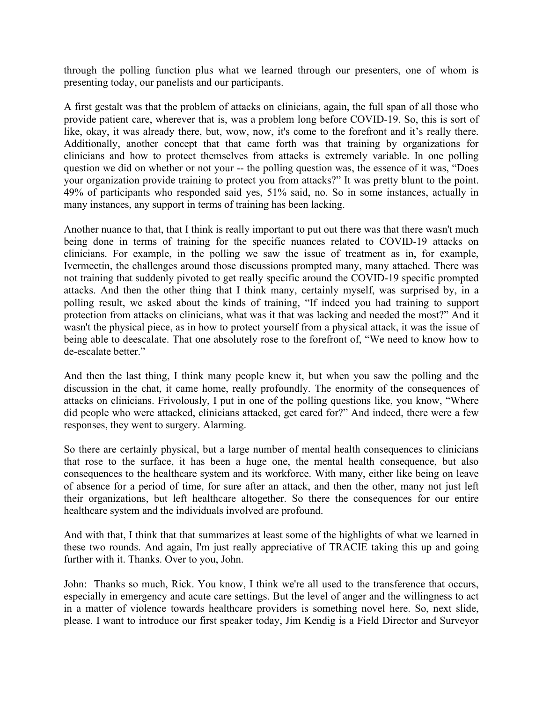through the polling function plus what we learned through our presenters, one of whom is presenting today, our panelists and our participants.

 A first gestalt was that the problem of attacks on clinicians, again, the full span of all those who provide patient care, wherever that is, was a problem long before COVID-19. So, this is sort of like, okay, it was already there, but, wow, now, it's come to the forefront and it's really there. Additionally, another concept that that came forth was that training by organizations for clinicians and how to protect themselves from attacks is extremely variable. In one polling question we did on whether or not your -- the polling question was, the essence of it was, "Does your organization provide training to protect you from attacks?" It was pretty blunt to the point. 49% of participants who responded said yes, 51% said, no. So in some instances, actually in many instances, any support in terms of training has been lacking.

 Another nuance to that, that I think is really important to put out there was that there wasn't much being done in terms of training for the specific nuances related to COVID-19 attacks on clinicians. For example, in the polling we saw the issue of treatment as in, for example, Ivermectin, the challenges around those discussions prompted many, many attached. There was not training that suddenly pivoted to get really specific around the COVID-19 specific prompted attacks. And then the other thing that I think many, certainly myself, was surprised by, in a polling result, we asked about the kinds of training, "If indeed you had training to support protection from attacks on clinicians, what was it that was lacking and needed the most?" And it wasn't the physical piece, as in how to protect yourself from a physical attack, it was the issue of being able to deescalate. That one absolutely rose to the forefront of, "We need to know how to de-escalate better."

 And then the last thing, I think many people knew it, but when you saw the polling and the discussion in the chat, it came home, really profoundly. The enormity of the consequences of attacks on clinicians. Frivolously, I put in one of the polling questions like, you know, "Where did people who were attacked, clinicians attacked, get cared for?" And indeed, there were a few responses, they went to surgery. Alarming.

 So there are certainly physical, but a large number of mental health consequences to clinicians that rose to the surface, it has been a huge one, the mental health consequence, but also consequences to the healthcare system and its workforce. With many, either like being on leave of absence for a period of time, for sure after an attack, and then the other, many not just left their organizations, but left healthcare altogether. So there the consequences for our entire healthcare system and the individuals involved are profound.

 And with that, I think that that summarizes at least some of the highlights of what we learned in these two rounds. And again, I'm just really appreciative of TRACIE taking this up and going further with it. Thanks. Over to you, John.

 John: Thanks so much, Rick. You know, I think we're all used to the transference that occurs, especially in emergency and acute care settings. But the level of anger and the willingness to act in a matter of violence towards healthcare providers is something novel here. So, next slide, please. I want to introduce our first speaker today, Jim Kendig is a Field Director and Surveyor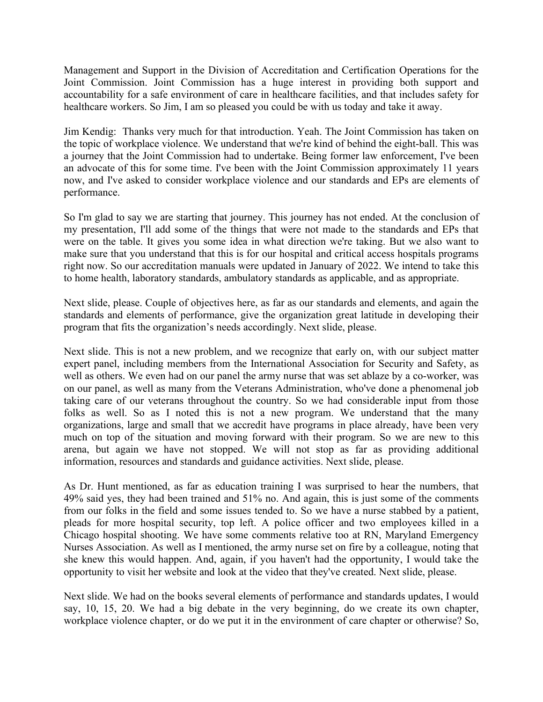Management and Support in the Division of Accreditation and Certification Operations for the Joint Commission. Joint Commission has a huge interest in providing both support and accountability for a safe environment of care in healthcare facilities, and that includes safety for healthcare workers. So Jim, I am so pleased you could be with us today and take it away.

 Jim Kendig: Thanks very much for that introduction. Yeah. The Joint Commission has taken on the topic of workplace violence. We understand that we're kind of behind the eight-ball. This was a journey that the Joint Commission had to undertake. Being former law enforcement, I've been an advocate of this for some time. I've been with the Joint Commission approximately 11 years now, and I've asked to consider workplace violence and our standards and EPs are elements of performance.

 So I'm glad to say we are starting that journey. This journey has not ended. At the conclusion of my presentation, I'll add some of the things that were not made to the standards and EPs that were on the table. It gives you some idea in what direction we're taking. But we also want to make sure that you understand that this is for our hospital and critical access hospitals programs right now. So our accreditation manuals were updated in January of 2022. We intend to take this to home health, laboratory standards, ambulatory standards as applicable, and as appropriate.

 Next slide, please. Couple of objectives here, as far as our standards and elements, and again the standards and elements of performance, give the organization great latitude in developing their program that fits the organization's needs accordingly. Next slide, please.

 Next slide. This is not a new problem, and we recognize that early on, with our subject matter expert panel, including members from the International Association for Security and Safety, as well as others. We even had on our panel the army nurse that was set ablaze by a co-worker, was on our panel, as well as many from the Veterans Administration, who've done a phenomenal job taking care of our veterans throughout the country. So we had considerable input from those folks as well. So as I noted this is not a new program. We understand that the many organizations, large and small that we accredit have programs in place already, have been very much on top of the situation and moving forward with their program. So we are new to this arena, but again we have not stopped. We will not stop as far as providing additional information, resources and standards and guidance activities. Next slide, please.

 As Dr. Hunt mentioned, as far as education training I was surprised to hear the numbers, that 49% said yes, they had been trained and 51% no. And again, this is just some of the comments from our folks in the field and some issues tended to. So we have a nurse stabbed by a patient, pleads for more hospital security, top left. A police officer and two employees killed in a Chicago hospital shooting. We have some comments relative too at RN, Maryland Emergency Nurses Association. As well as I mentioned, the army nurse set on fire by a colleague, noting that she knew this would happen. And, again, if you haven't had the opportunity, I would take the opportunity to visit her website and look at the video that they've created. Next slide, please.

 Next slide. We had on the books several elements of performance and standards updates, I would say, 10, 15, 20. We had a big debate in the very beginning, do we create its own chapter, workplace violence chapter, or do we put it in the environment of care chapter or otherwise? So,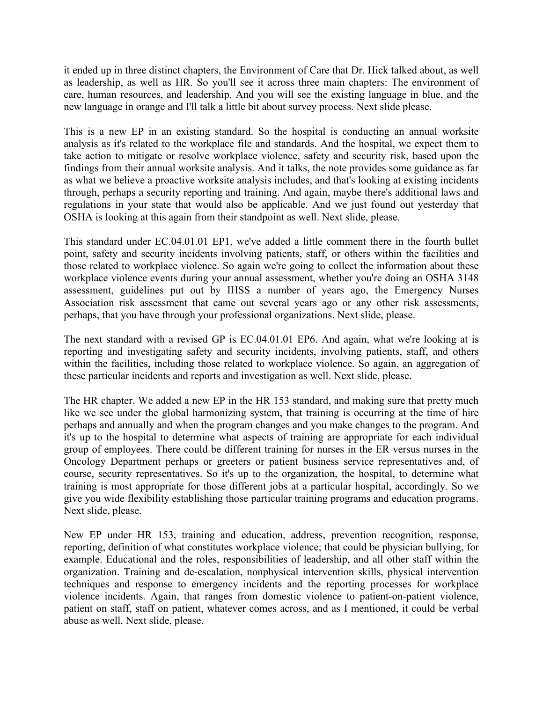it ended up in three distinct chapters, the Environment of Care that Dr. Hick talked about, as well as leadership, as well as HR. So you'll see it across three main chapters: The environment of care, human resources, and leadership. And you will see the existing language in blue, and the new language in orange and I'll talk a little bit about survey process. Next slide please.

 This is a new EP in an existing standard. So the hospital is conducting an annual worksite analysis as it's related to the workplace file and standards. And the hospital, we expect them to take action to mitigate or resolve workplace violence, safety and security risk, based upon the findings from their annual worksite analysis. And it talks, the note provides some guidance as far as what we believe a proactive worksite analysis includes, and that's looking at existing incidents through, perhaps a security reporting and training. And again, maybe there's additional laws and regulations in your state that would also be applicable. And we just found out yesterday that OSHA is looking at this again from their standpoint as well. Next slide, please.

 This standard under EC.04.01.01 EP1, we've added a little comment there in the fourth bullet point, safety and security incidents involving patients, staff, or others within the facilities and those related to workplace violence. So again we're going to collect the information about these workplace violence events during your annual assessment, whether you're doing an OSHA 3148 assessment, guidelines put out by IHSS a number of years ago, the Emergency Nurses Association risk assessment that came out several years ago or any other risk assessments, perhaps, that you have through your professional organizations. Next slide, please.

 The next standard with a revised GP is EC.04.01.01 EP6. And again, what we're looking at is reporting and investigating safety and security incidents, involving patients, staff, and others within the facilities, including those related to workplace violence. So again, an aggregation of these particular incidents and reports and investigation as well. Next slide, please.

 The HR chapter. We added a new EP in the HR 153 standard, and making sure that pretty much like we see under the global harmonizing system, that training is occurring at the time of hire perhaps and annually and when the program changes and you make changes to the program. And it's up to the hospital to determine what aspects of training are appropriate for each individual group of employees. There could be different training for nurses in the ER versus nurses in the Oncology Department perhaps or greeters or patient business service representatives and, of course, security representatives. So it's up to the organization, the hospital, to determine what training is most appropriate for those different jobs at a particular hospital, accordingly. So we give you wide flexibility establishing those particular training programs and education programs. Next slide, please.

 New EP under HR 153, training and education, address, prevention recognition, response, reporting, definition of what constitutes workplace violence; that could be physician bullying, for example. Educational and the roles, responsibilities of leadership, and all other staff within the organization. Training and de-escalation, nonphysical intervention skills, physical intervention techniques and response to emergency incidents and the reporting processes for workplace violence incidents. Again, that ranges from domestic violence to patient-on-patient violence, patient on staff, staff on patient, whatever comes across, and as I mentioned, it could be verbal abuse as well. Next slide, please.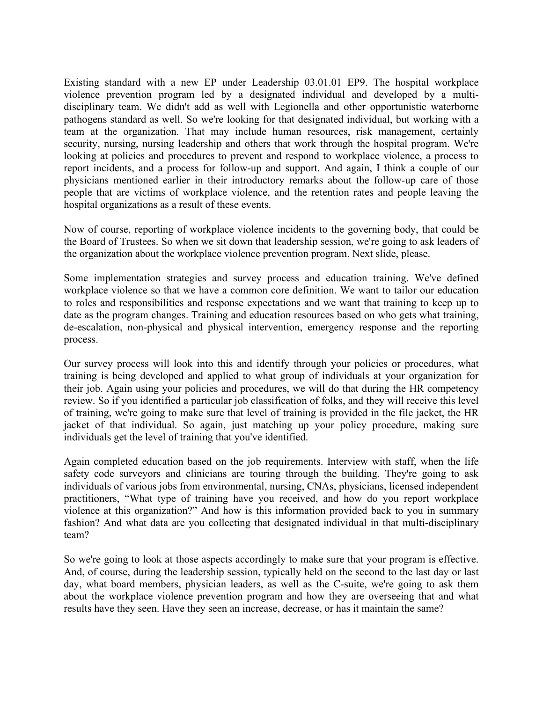Existing standard with a new EP under Leadership 03.01.01 EP9. The hospital workplace violence prevention program led by a designated individual and developed by a multi- disciplinary team. We didn't add as well with Legionella and other opportunistic waterborne pathogens standard as well. So we're looking for that designated individual, but working with a team at the organization. That may include human resources, risk management, certainly security, nursing, nursing leadership and others that work through the hospital program. We're looking at policies and procedures to prevent and respond to workplace violence, a process to report incidents, and a process for follow-up and support. And again, I think a couple of our physicians mentioned earlier in their introductory remarks about the follow-up care of those people that are victims of workplace violence, and the retention rates and people leaving the hospital organizations as a result of these events.

 Now of course, reporting of workplace violence incidents to the governing body, that could be the Board of Trustees. So when we sit down that leadership session, we're going to ask leaders of the organization about the workplace violence prevention program. Next slide, please.

 Some implementation strategies and survey process and education training. We've defined workplace violence so that we have a common core definition. We want to tailor our education to roles and responsibilities and response expectations and we want that training to keep up to date as the program changes. Training and education resources based on who gets what training, de-escalation, non-physical and physical intervention, emergency response and the reporting process.

 Our survey process will look into this and identify through your policies or procedures, what training is being developed and applied to what group of individuals at your organization for their job. Again using your policies and procedures, we will do that during the HR competency review. So if you identified a particular job classification of folks, and they will receive this level of training, we're going to make sure that level of training is provided in the file jacket, the HR jacket of that individual. So again, just matching up your policy procedure, making sure individuals get the level of training that you've identified.

 Again completed education based on the job requirements. Interview with staff, when the life safety code surveyors and clinicians are touring through the building. They're going to ask individuals of various jobs from environmental, nursing, CNAs, physicians, licensed independent practitioners, "What type of training have you received, and how do you report workplace violence at this organization?" And how is this information provided back to you in summary fashion? And what data are you collecting that designated individual in that multi-disciplinary team?

 So we're going to look at those aspects accordingly to make sure that your program is effective. And, of course, during the leadership session, typically held on the second to the last day or last day, what board members, physician leaders, as well as the C-suite, we're going to ask them about the workplace violence prevention program and how they are overseeing that and what results have they seen. Have they seen an increase, decrease, or has it maintain the same?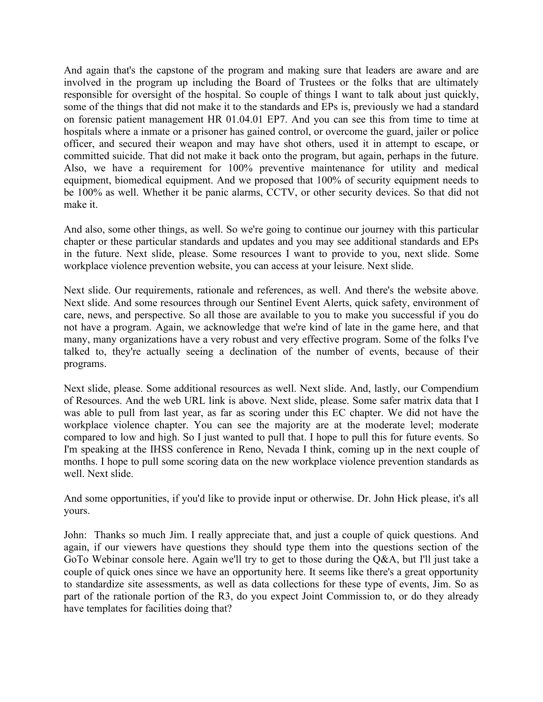And again that's the capstone of the program and making sure that leaders are aware and are involved in the program up including the Board of Trustees or the folks that are ultimately responsible for oversight of the hospital. So couple of things I want to talk about just quickly, some of the things that did not make it to the standards and EPs is, previously we had a standard on forensic patient management HR 01.04.01 EP7. And you can see this from time to time at hospitals where a inmate or a prisoner has gained control, or overcome the guard, jailer or police officer, and secured their weapon and may have shot others, used it in attempt to escape, or committed suicide. That did not make it back onto the program, but again, perhaps in the future. Also, we have a requirement for 100% preventive maintenance for utility and medical equipment, biomedical equipment. And we proposed that 100% of security equipment needs to be 100% as well. Whether it be panic alarms, CCTV, or other security devices. So that did not make it.

 And also, some other things, as well. So we're going to continue our journey with this particular chapter or these particular standards and updates and you may see additional standards and EPs in the future. Next slide, please. Some resources I want to provide to you, next slide. Some workplace violence prevention website, you can access at your leisure. Next slide.

 Next slide. Our requirements, rationale and references, as well. And there's the website above. Next slide. And some resources through our Sentinel Event Alerts, quick safety, environment of care, news, and perspective. So all those are available to you to make you successful if you do not have a program. Again, we acknowledge that we're kind of late in the game here, and that many, many organizations have a very robust and very effective program. Some of the folks I've talked to, they're actually seeing a declination of the number of events, because of their programs.

 Next slide, please. Some additional resources as well. Next slide. And, lastly, our Compendium of Resources. And the web URL link is above. Next slide, please. Some safer matrix data that I was able to pull from last year, as far as scoring under this EC chapter. We did not have the workplace violence chapter. You can see the majority are at the moderate level; moderate compared to low and high. So I just wanted to pull that. I hope to pull this for future events. So I'm speaking at the IHSS conference in Reno, Nevada I think, coming up in the next couple of months. I hope to pull some scoring data on the new workplace violence prevention standards as well. Next slide.

 And some opportunities, if you'd like to provide input or otherwise. Dr. John Hick please, it's all yours.

 John: Thanks so much Jim. I really appreciate that, and just a couple of quick questions. And again, if our viewers have questions they should type them into the questions section of the GoTo Webinar console here. Again we'll try to get to those during the Q&A, but I'll just take a couple of quick ones since we have an opportunity here. It seems like there's a great opportunity to standardize site assessments, as well as data collections for these type of events, Jim. So as part of the rationale portion of the R3, do you expect Joint Commission to, or do they already have templates for facilities doing that?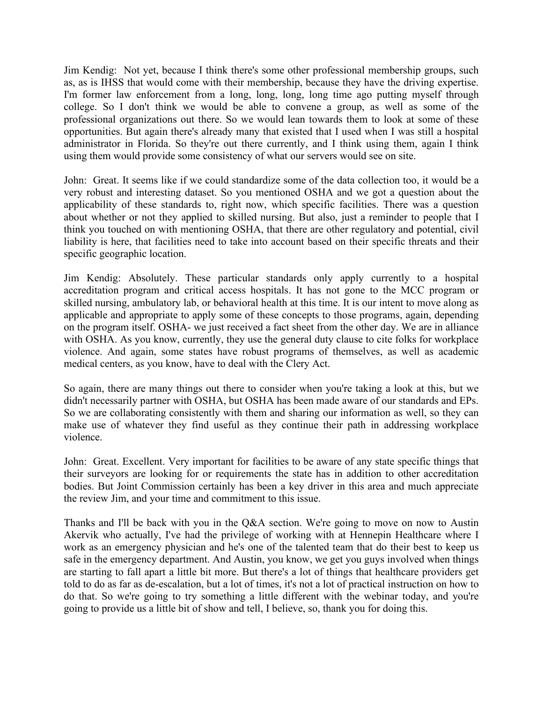Jim Kendig: Not yet, because I think there's some other professional membership groups, such as, as is IHSS that would come with their membership, because they have the driving expertise. I'm former law enforcement from a long, long, long, long time ago putting myself through college. So I don't think we would be able to convene a group, as well as some of the professional organizations out there. So we would lean towards them to look at some of these opportunities. But again there's already many that existed that I used when I was still a hospital administrator in Florida. So they're out there currently, and I think using them, again I think using them would provide some consistency of what our servers would see on site.

 John: Great. It seems like if we could standardize some of the data collection too, it would be a very robust and interesting dataset. So you mentioned OSHA and we got a question about the applicability of these standards to, right now, which specific facilities. There was a question about whether or not they applied to skilled nursing. But also, just a reminder to people that I think you touched on with mentioning OSHA, that there are other regulatory and potential, civil liability is here, that facilities need to take into account based on their specific threats and their specific geographic location.

 Jim Kendig: Absolutely. These particular standards only apply currently to a hospital accreditation program and critical access hospitals. It has not gone to the MCC program or skilled nursing, ambulatory lab, or behavioral health at this time. It is our intent to move along as applicable and appropriate to apply some of these concepts to those programs, again, depending on the program itself. OSHA- we just received a fact sheet from the other day. We are in alliance with OSHA. As you know, currently, they use the general duty clause to cite folks for workplace violence. And again, some states have robust programs of themselves, as well as academic medical centers, as you know, have to deal with the Clery Act.

 So again, there are many things out there to consider when you're taking a look at this, but we didn't necessarily partner with OSHA, but OSHA has been made aware of our standards and EPs. So we are collaborating consistently with them and sharing our information as well, so they can make use of whatever they find useful as they continue their path in addressing workplace violence.

 John: Great. Excellent. Very important for facilities to be aware of any state specific things that their surveyors are looking for or requirements the state has in addition to other accreditation bodies. But Joint Commission certainly has been a key driver in this area and much appreciate the review Jim, and your time and commitment to this issue.

 Thanks and I'll be back with you in the Q&A section. We're going to move on now to Austin Akervik who actually, I've had the privilege of working with at Hennepin Healthcare where I work as an emergency physician and he's one of the talented team that do their best to keep us safe in the emergency department. And Austin, you know, we get you guys involved when things are starting to fall apart a little bit more. But there's a lot of things that healthcare providers get told to do as far as de-escalation, but a lot of times, it's not a lot of practical instruction on how to do that. So we're going to try something a little different with the webinar today, and you're going to provide us a little bit of show and tell, I believe, so, thank you for doing this.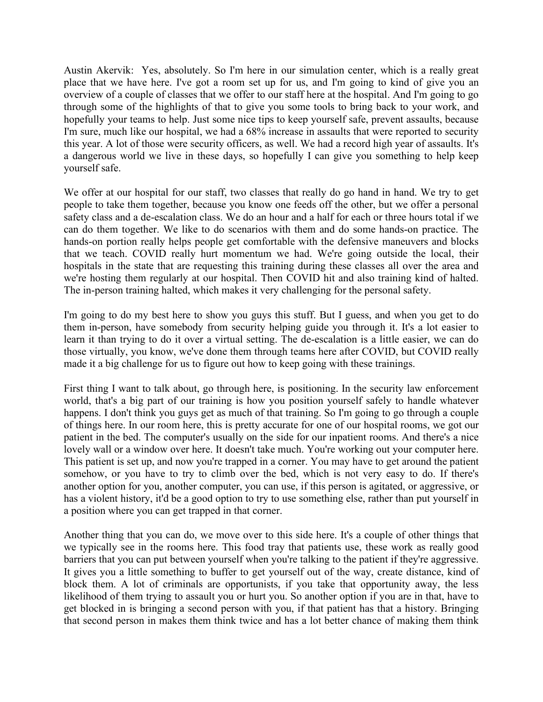Austin Akervik: Yes, absolutely. So I'm here in our simulation center, which is a really great place that we have here. I've got a room set up for us, and I'm going to kind of give you an overview of a couple of classes that we offer to our staff here at the hospital. And I'm going to go through some of the highlights of that to give you some tools to bring back to your work, and hopefully your teams to help. Just some nice tips to keep yourself safe, prevent assaults, because I'm sure, much like our hospital, we had a 68% increase in assaults that were reported to security this year. A lot of those were security officers, as well. We had a record high year of assaults. It's a dangerous world we live in these days, so hopefully I can give you something to help keep yourself safe.

 We offer at our hospital for our staff, two classes that really do go hand in hand. We try to get people to take them together, because you know one feeds off the other, but we offer a personal safety class and a de-escalation class. We do an hour and a half for each or three hours total if we can do them together. We like to do scenarios with them and do some hands-on practice. The hands-on portion really helps people get comfortable with the defensive maneuvers and blocks that we teach. COVID really hurt momentum we had. We're going outside the local, their hospitals in the state that are requesting this training during these classes all over the area and we're hosting them regularly at our hospital. Then COVID hit and also training kind of halted. The in-person training halted, which makes it very challenging for the personal safety.

 I'm going to do my best here to show you guys this stuff. But I guess, and when you get to do them in-person, have somebody from security helping guide you through it. It's a lot easier to learn it than trying to do it over a virtual setting. The de-escalation is a little easier, we can do those virtually, you know, we've done them through teams here after COVID, but COVID really made it a big challenge for us to figure out how to keep going with these trainings.

 First thing I want to talk about, go through here, is positioning. In the security law enforcement world, that's a big part of our training is how you position yourself safely to handle whatever happens. I don't think you guys get as much of that training. So I'm going to go through a couple of things here. In our room here, this is pretty accurate for one of our hospital rooms, we got our patient in the bed. The computer's usually on the side for our inpatient rooms. And there's a nice lovely wall or a window over here. It doesn't take much. You're working out your computer here. This patient is set up, and now you're trapped in a corner. You may have to get around the patient somehow, or you have to try to climb over the bed, which is not very easy to do. If there's another option for you, another computer, you can use, if this person is agitated, or aggressive, or has a violent history, it'd be a good option to try to use something else, rather than put yourself in a position where you can get trapped in that corner.

 Another thing that you can do, we move over to this side here. It's a couple of other things that we typically see in the rooms here. This food tray that patients use, these work as really good barriers that you can put between yourself when you're talking to the patient if they're aggressive. It gives you a little something to buffer to get yourself out of the way, create distance, kind of block them. A lot of criminals are opportunists, if you take that opportunity away, the less likelihood of them trying to assault you or hurt you. So another option if you are in that, have to get blocked in is bringing a second person with you, if that patient has that a history. Bringing that second person in makes them think twice and has a lot better chance of making them think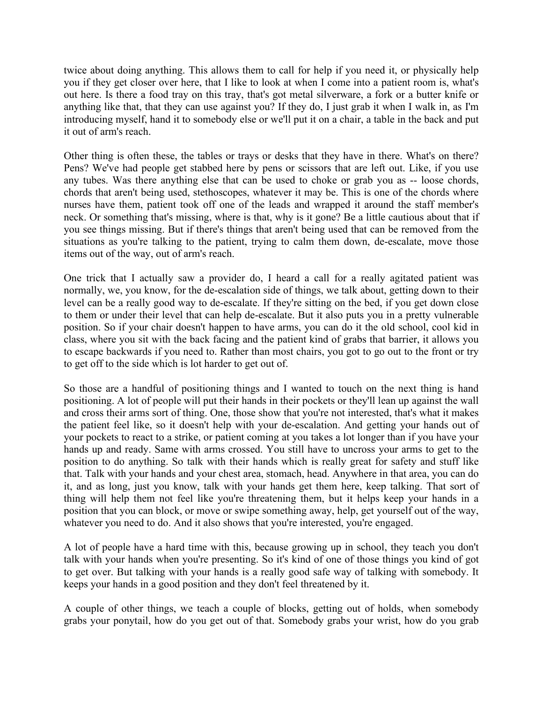twice about doing anything. This allows them to call for help if you need it, or physically help you if they get closer over here, that I like to look at when I come into a patient room is, what's out here. Is there a food tray on this tray, that's got metal silverware, a fork or a butter knife or anything like that, that they can use against you? If they do, I just grab it when I walk in, as I'm introducing myself, hand it to somebody else or we'll put it on a chair, a table in the back and put it out of arm's reach.

 Other thing is often these, the tables or trays or desks that they have in there. What's on there? Pens? We've had people get stabbed here by pens or scissors that are left out. Like, if you use any tubes. Was there anything else that can be used to choke or grab you as -- loose chords, chords that aren't being used, stethoscopes, whatever it may be. This is one of the chords where nurses have them, patient took off one of the leads and wrapped it around the staff member's neck. Or something that's missing, where is that, why is it gone? Be a little cautious about that if you see things missing. But if there's things that aren't being used that can be removed from the situations as you're talking to the patient, trying to calm them down, de-escalate, move those items out of the way, out of arm's reach.

 One trick that I actually saw a provider do, I heard a call for a really agitated patient was normally, we, you know, for the de-escalation side of things, we talk about, getting down to their level can be a really good way to de-escalate. If they're sitting on the bed, if you get down close to them or under their level that can help de-escalate. But it also puts you in a pretty vulnerable position. So if your chair doesn't happen to have arms, you can do it the old school, cool kid in class, where you sit with the back facing and the patient kind of grabs that barrier, it allows you to escape backwards if you need to. Rather than most chairs, you got to go out to the front or try to get off to the side which is lot harder to get out of.

 So those are a handful of positioning things and I wanted to touch on the next thing is hand positioning. A lot of people will put their hands in their pockets or they'll lean up against the wall and cross their arms sort of thing. One, those show that you're not interested, that's what it makes the patient feel like, so it doesn't help with your de-escalation. And getting your hands out of your pockets to react to a strike, or patient coming at you takes a lot longer than if you have your hands up and ready. Same with arms crossed. You still have to uncross your arms to get to the position to do anything. So talk with their hands which is really great for safety and stuff like that. Talk with your hands and your chest area, stomach, head. Anywhere in that area, you can do it, and as long, just you know, talk with your hands get them here, keep talking. That sort of thing will help them not feel like you're threatening them, but it helps keep your hands in a position that you can block, or move or swipe something away, help, get yourself out of the way, whatever you need to do. And it also shows that you're interested, you're engaged.

 A lot of people have a hard time with this, because growing up in school, they teach you don't talk with your hands when you're presenting. So it's kind of one of those things you kind of got to get over. But talking with your hands is a really good safe way of talking with somebody. It keeps your hands in a good position and they don't feel threatened by it.

 A couple of other things, we teach a couple of blocks, getting out of holds, when somebody grabs your ponytail, how do you get out of that. Somebody grabs your wrist, how do you grab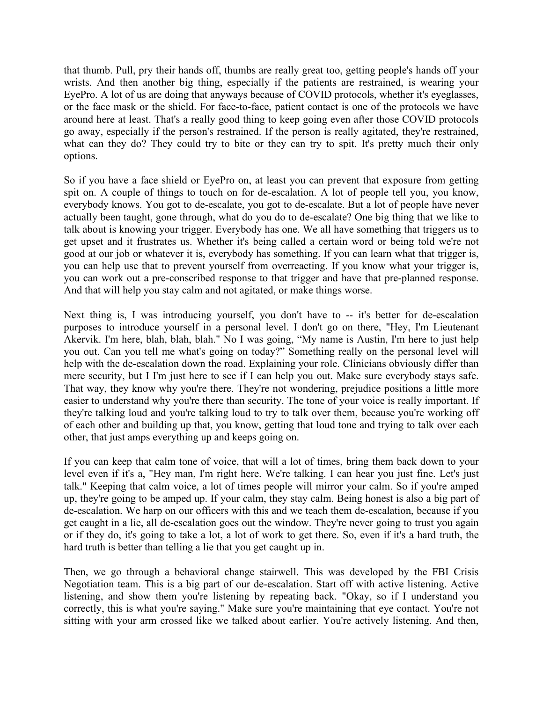that thumb. Pull, pry their hands off, thumbs are really great too, getting people's hands off your wrists. And then another big thing, especially if the patients are restrained, is wearing your EyePro. A lot of us are doing that anyways because of COVID protocols, whether it's eyeglasses, or the face mask or the shield. For face-to-face, patient contact is one of the protocols we have around here at least. That's a really good thing to keep going even after those COVID protocols go away, especially if the person's restrained. If the person is really agitated, they're restrained, what can they do? They could try to bite or they can try to spit. It's pretty much their only options.

 So if you have a face shield or EyePro on, at least you can prevent that exposure from getting spit on. A couple of things to touch on for de-escalation. A lot of people tell you, you know, everybody knows. You got to de-escalate, you got to de-escalate. But a lot of people have never actually been taught, gone through, what do you do to de-escalate? One big thing that we like to talk about is knowing your trigger. Everybody has one. We all have something that triggers us to get upset and it frustrates us. Whether it's being called a certain word or being told we're not good at our job or whatever it is, everybody has something. If you can learn what that trigger is, you can help use that to prevent yourself from overreacting. If you know what your trigger is, you can work out a pre-conscribed response to that trigger and have that pre-planned response. And that will help you stay calm and not agitated, or make things worse.

 Next thing is, I was introducing yourself, you don't have to -- it's better for de-escalation purposes to introduce yourself in a personal level. I don't go on there, "Hey, I'm Lieutenant Akervik. I'm here, blah, blah, blah." No I was going, "My name is Austin, I'm here to just help you out. Can you tell me what's going on today?" Something really on the personal level will help with the de-escalation down the road. Explaining your role. Clinicians obviously differ than mere security, but I I'm just here to see if I can help you out. Make sure everybody stays safe. That way, they know why you're there. They're not wondering, prejudice positions a little more easier to understand why you're there than security. The tone of your voice is really important. If they're talking loud and you're talking loud to try to talk over them, because you're working off of each other and building up that, you know, getting that loud tone and trying to talk over each other, that just amps everything up and keeps going on.

 If you can keep that calm tone of voice, that will a lot of times, bring them back down to your level even if it's a, "Hey man, I'm right here. We're talking. I can hear you just fine. Let's just talk." Keeping that calm voice, a lot of times people will mirror your calm. So if you're amped up, they're going to be amped up. If your calm, they stay calm. Being honest is also a big part of de-escalation. We harp on our officers with this and we teach them de-escalation, because if you get caught in a lie, all de-escalation goes out the window. They're never going to trust you again or if they do, it's going to take a lot, a lot of work to get there. So, even if it's a hard truth, the hard truth is better than telling a lie that you get caught up in.

 Then, we go through a behavioral change stairwell. This was developed by the FBI Crisis Negotiation team. This is a big part of our de-escalation. Start off with active listening. Active listening, and show them you're listening by repeating back. "Okay, so if I understand you correctly, this is what you're saying." Make sure you're maintaining that eye contact. You're not sitting with your arm crossed like we talked about earlier. You're actively listening. And then,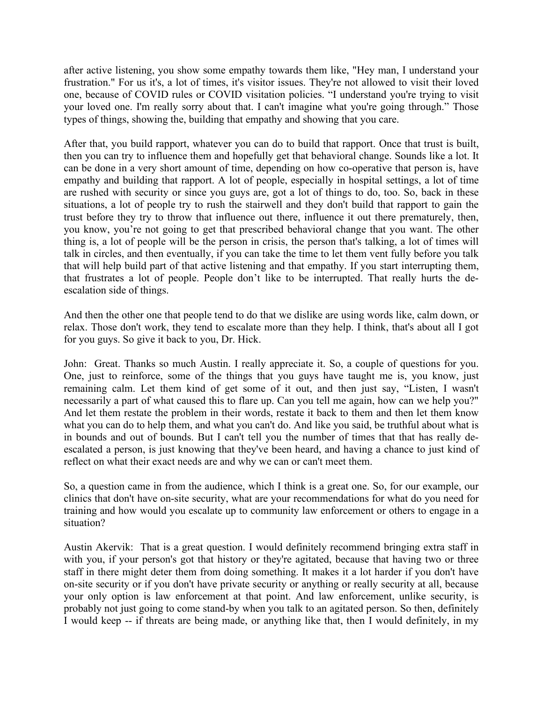after active listening, you show some empathy towards them like, "Hey man, I understand your frustration." For us it's, a lot of times, it's visitor issues. They're not allowed to visit their loved one, because of COVID rules or COVID visitation policies. "I understand you're trying to visit your loved one. I'm really sorry about that. I can't imagine what you're going through." Those types of things, showing the, building that empathy and showing that you care.

 After that, you build rapport, whatever you can do to build that rapport. Once that trust is built, then you can try to influence them and hopefully get that behavioral change. Sounds like a lot. It can be done in a very short amount of time, depending on how co-operative that person is, have empathy and building that rapport. A lot of people, especially in hospital settings, a lot of time are rushed with security or since you guys are, got a lot of things to do, too. So, back in these situations, a lot of people try to rush the stairwell and they don't build that rapport to gain the trust before they try to throw that influence out there, influence it out there prematurely, then, you know, you're not going to get that prescribed behavioral change that you want. The other thing is, a lot of people will be the person in crisis, the person that's talking, a lot of times will talk in circles, and then eventually, if you can take the time to let them vent fully before you talk that will help build part of that active listening and that empathy. If you start interrupting them, that frustrates a lot of people. People don't like to be interrupted. That really hurts the de-escalation side of things.

 And then the other one that people tend to do that we dislike are using words like, calm down, or relax. Those don't work, they tend to escalate more than they help. I think, that's about all I got for you guys. So give it back to you, Dr. Hick.

 John: Great. Thanks so much Austin. I really appreciate it. So, a couple of questions for you. One, just to reinforce, some of the things that you guys have taught me is, you know, just remaining calm. Let them kind of get some of it out, and then just say, "Listen, I wasn't necessarily a part of what caused this to flare up. Can you tell me again, how can we help you?" And let them restate the problem in their words, restate it back to them and then let them know what you can do to help them, and what you can't do. And like you said, be truthful about what is in bounds and out of bounds. But I can't tell you the number of times that that has really de- escalated a person, is just knowing that they've been heard, and having a chance to just kind of reflect on what their exact needs are and why we can or can't meet them.

 So, a question came in from the audience, which I think is a great one. So, for our example, our clinics that don't have on-site security, what are your recommendations for what do you need for training and how would you escalate up to community law enforcement or others to engage in a situation?

 Austin Akervik: That is a great question. I would definitely recommend bringing extra staff in with you, if your person's got that history or they're agitated, because that having two or three staff in there might deter them from doing something. It makes it a lot harder if you don't have on-site security or if you don't have private security or anything or really security at all, because your only option is law enforcement at that point. And law enforcement, unlike security, is probably not just going to come stand-by when you talk to an agitated person. So then, definitely I would keep -- if threats are being made, or anything like that, then I would definitely, in my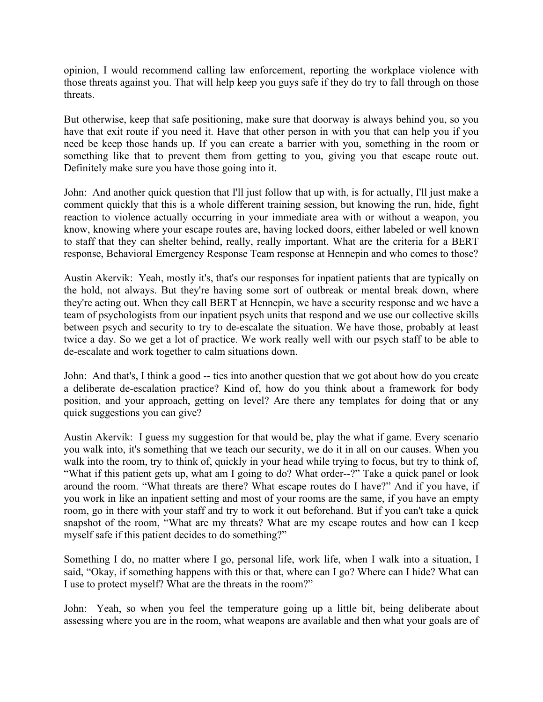opinion, I would recommend calling law enforcement, reporting the workplace violence with those threats against you. That will help keep you guys safe if they do try to fall through on those threats.

 But otherwise, keep that safe positioning, make sure that doorway is always behind you, so you have that exit route if you need it. Have that other person in with you that can help you if you need be keep those hands up. If you can create a barrier with you, something in the room or something like that to prevent them from getting to you, giving you that escape route out. Definitely make sure you have those going into it.

 John: And another quick question that I'll just follow that up with, is for actually, I'll just make a comment quickly that this is a whole different training session, but knowing the run, hide, fight reaction to violence actually occurring in your immediate area with or without a weapon, you know, knowing where your escape routes are, having locked doors, either labeled or well known to staff that they can shelter behind, really, really important. What are the criteria for a BERT response, Behavioral Emergency Response Team response at Hennepin and who comes to those?

 Austin Akervik: Yeah, mostly it's, that's our responses for inpatient patients that are typically on the hold, not always. But they're having some sort of outbreak or mental break down, where they're acting out. When they call BERT at Hennepin, we have a security response and we have a team of psychologists from our inpatient psych units that respond and we use our collective skills between psych and security to try to de-escalate the situation. We have those, probably at least twice a day. So we get a lot of practice. We work really well with our psych staff to be able to de-escalate and work together to calm situations down.

 John: And that's, I think a good -- ties into another question that we got about how do you create a deliberate de-escalation practice? Kind of, how do you think about a framework for body position, and your approach, getting on level? Are there any templates for doing that or any quick suggestions you can give?

 Austin Akervik: I guess my suggestion for that would be, play the what if game. Every scenario you walk into, it's something that we teach our security, we do it in all on our causes. When you walk into the room, try to think of, quickly in your head while trying to focus, but try to think of, "What if this patient gets up, what am I going to do? What order--?" Take a quick panel or look around the room. "What threats are there? What escape routes do I have?" And if you have, if you work in like an inpatient setting and most of your rooms are the same, if you have an empty room, go in there with your staff and try to work it out beforehand. But if you can't take a quick snapshot of the room, "What are my threats? What are my escape routes and how can I keep myself safe if this patient decides to do something?"

 Something I do, no matter where I go, personal life, work life, when I walk into a situation, I said, "Okay, if something happens with this or that, where can I go? Where can I hide? What can I use to protect myself? What are the threats in the room?"

 John: Yeah, so when you feel the temperature going up a little bit, being deliberate about assessing where you are in the room, what weapons are available and then what your goals are of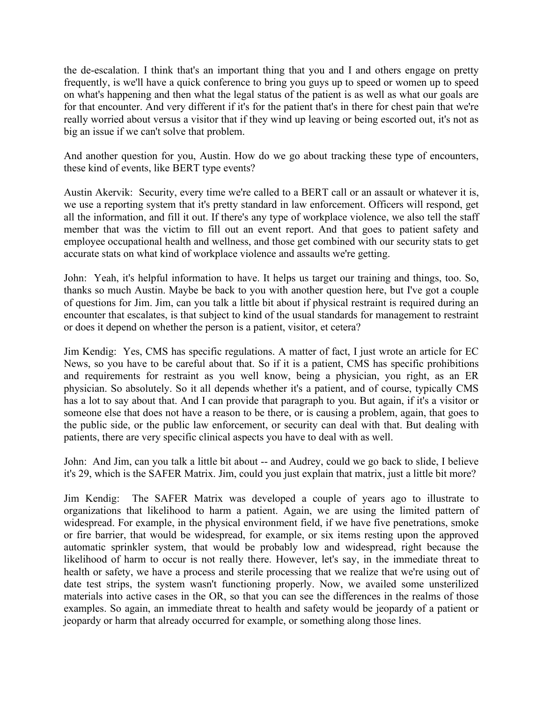the de-escalation. I think that's an important thing that you and I and others engage on pretty frequently, is we'll have a quick conference to bring you guys up to speed or women up to speed on what's happening and then what the legal status of the patient is as well as what our goals are for that encounter. And very different if it's for the patient that's in there for chest pain that we're really worried about versus a visitor that if they wind up leaving or being escorted out, it's not as big an issue if we can't solve that problem.

 And another question for you, Austin. How do we go about tracking these type of encounters, these kind of events, like BERT type events?

 Austin Akervik: Security, every time we're called to a BERT call or an assault or whatever it is, we use a reporting system that it's pretty standard in law enforcement. Officers will respond, get all the information, and fill it out. If there's any type of workplace violence, we also tell the staff member that was the victim to fill out an event report. And that goes to patient safety and employee occupational health and wellness, and those get combined with our security stats to get accurate stats on what kind of workplace violence and assaults we're getting.

 John: Yeah, it's helpful information to have. It helps us target our training and things, too. So, thanks so much Austin. Maybe be back to you with another question here, but I've got a couple of questions for Jim. Jim, can you talk a little bit about if physical restraint is required during an encounter that escalates, is that subject to kind of the usual standards for management to restraint or does it depend on whether the person is a patient, visitor, et cetera?

 Jim Kendig: Yes, CMS has specific regulations. A matter of fact, I just wrote an article for EC News, so you have to be careful about that. So if it is a patient, CMS has specific prohibitions and requirements for restraint as you well know, being a physician, you right, as an ER physician. So absolutely. So it all depends whether it's a patient, and of course, typically CMS has a lot to say about that. And I can provide that paragraph to you. But again, if it's a visitor or someone else that does not have a reason to be there, or is causing a problem, again, that goes to the public side, or the public law enforcement, or security can deal with that. But dealing with patients, there are very specific clinical aspects you have to deal with as well.

 John: And Jim, can you talk a little bit about -- and Audrey, could we go back to slide, I believe it's 29, which is the SAFER Matrix. Jim, could you just explain that matrix, just a little bit more?

 Jim Kendig: The SAFER Matrix was developed a couple of years ago to illustrate to organizations that likelihood to harm a patient. Again, we are using the limited pattern of widespread. For example, in the physical environment field, if we have five penetrations, smoke or fire barrier, that would be widespread, for example, or six items resting upon the approved automatic sprinkler system, that would be probably low and widespread, right because the likelihood of harm to occur is not really there. However, let's say, in the immediate threat to health or safety, we have a process and sterile processing that we realize that we're using out of date test strips, the system wasn't functioning properly. Now, we availed some unsterilized materials into active cases in the OR, so that you can see the differences in the realms of those examples. So again, an immediate threat to health and safety would be jeopardy of a patient or jeopardy or harm that already occurred for example, or something along those lines.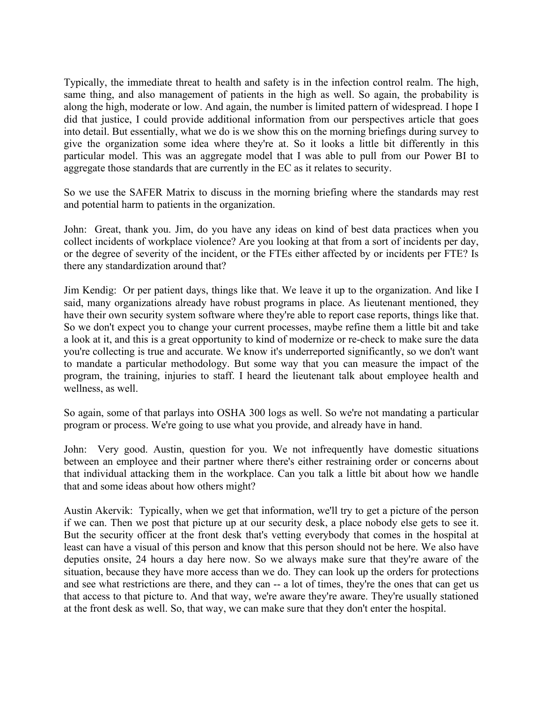Typically, the immediate threat to health and safety is in the infection control realm. The high, same thing, and also management of patients in the high as well. So again, the probability is along the high, moderate or low. And again, the number is limited pattern of widespread. I hope I did that justice, I could provide additional information from our perspectives article that goes into detail. But essentially, what we do is we show this on the morning briefings during survey to give the organization some idea where they're at. So it looks a little bit differently in this particular model. This was an aggregate model that I was able to pull from our Power BI to aggregate those standards that are currently in the EC as it relates to security.

 So we use the SAFER Matrix to discuss in the morning briefing where the standards may rest and potential harm to patients in the organization.

 John: Great, thank you. Jim, do you have any ideas on kind of best data practices when you collect incidents of workplace violence? Are you looking at that from a sort of incidents per day, or the degree of severity of the incident, or the FTEs either affected by or incidents per FTE? Is there any standardization around that?

 Jim Kendig: Or per patient days, things like that. We leave it up to the organization. And like I said, many organizations already have robust programs in place. As lieutenant mentioned, they have their own security system software where they're able to report case reports, things like that. So we don't expect you to change your current processes, maybe refine them a little bit and take a look at it, and this is a great opportunity to kind of modernize or re-check to make sure the data you're collecting is true and accurate. We know it's underreported significantly, so we don't want to mandate a particular methodology. But some way that you can measure the impact of the program, the training, injuries to staff. I heard the lieutenant talk about employee health and wellness, as well.

 So again, some of that parlays into OSHA 300 logs as well. So we're not mandating a particular program or process. We're going to use what you provide, and already have in hand.

 John: Very good. Austin, question for you. We not infrequently have domestic situations between an employee and their partner where there's either restraining order or concerns about that individual attacking them in the workplace. Can you talk a little bit about how we handle that and some ideas about how others might?

 Austin Akervik: Typically, when we get that information, we'll try to get a picture of the person if we can. Then we post that picture up at our security desk, a place nobody else gets to see it. But the security officer at the front desk that's vetting everybody that comes in the hospital at least can have a visual of this person and know that this person should not be here. We also have deputies onsite, 24 hours a day here now. So we always make sure that they're aware of the situation, because they have more access than we do. They can look up the orders for protections and see what restrictions are there, and they can -- a lot of times, they're the ones that can get us that access to that picture to. And that way, we're aware they're aware. They're usually stationed at the front desk as well. So, that way, we can make sure that they don't enter the hospital.